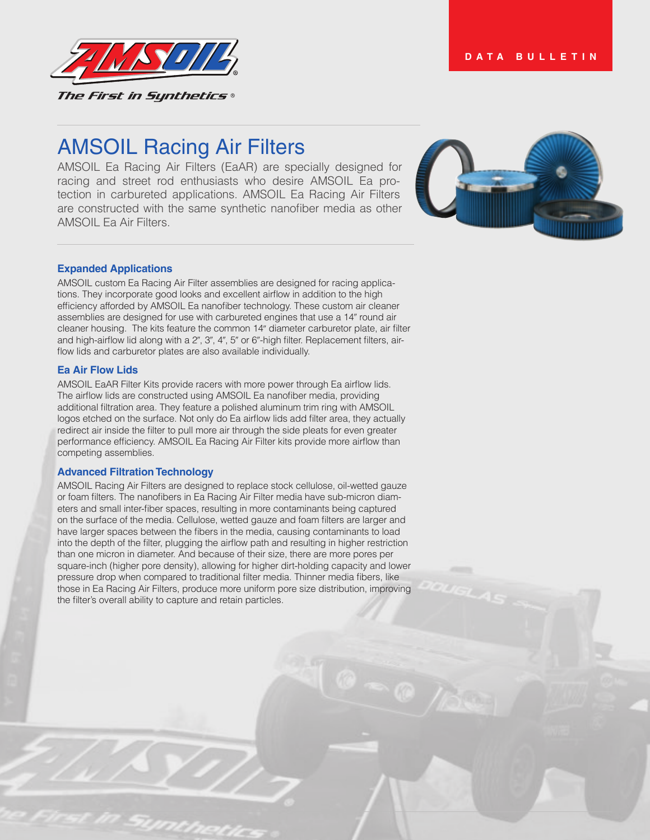

# AMSOIL Racing Air Filters

AMSOIL Ea Racing Air Filters (EaAR) are specially designed for racing and street rod enthusiasts who desire AMSOIL Ea protection in carbureted applications. AMSOIL Ea Racing Air Filters are constructed with the same synthetic nanofiber media as other AMSOIL Ea Air Filters.



# **Expanded Applications**

AMSOIL custom Ea Racing Air Filter assemblies are designed for racing applications. They incorporate good looks and excellent airflow in addition to the high efficiency afforded by AMSOIL Ea nanofiber technology. These custom air cleaner assemblies are designed for use with carbureted engines that use a 14" round air cleaner housing. The kits feature the common 14" diameter carburetor plate, air filter and high-airflow lid along with a 2", 3", 4", 5" or 6"-high filter. Replacement filters, airflow lids and carburetor plates are also available individually.

# **Ea Air Flow Lids**

AMSOIL EaAR Filter Kits provide racers with more power through Ea airflow lids. The airflow lids are constructed using AMSOIL Ea nanofiber media, providing additional filtration area. They feature a polished aluminum trim ring with AMSOIL logos etched on the surface. Not only do Ea airflow lids add filter area, they actually redirect air inside the filter to pull more air through the side pleats for even greater performance efficiency. AMSOIL Ea Racing Air Filter kits provide more airflow than competing assemblies.

## **Advanced Filtration Technology**

AMSOIL Racing Air Filters are designed to replace stock cellulose, oil-wetted gauze or foam filters. The nanofibers in Ea Racing Air Filter media have sub-micron diameters and small inter-fiber spaces, resulting in more contaminants being captured on the surface of the media. Cellulose, wetted gauze and foam filters are larger and have larger spaces between the fibers in the media, causing contaminants to load into the depth of the filter, plugging the airflow path and resulting in higher restriction than one micron in diameter. And because of their size, there are more pores per square-inch (higher pore density), allowing for higher dirt-holding capacity and lower pressure drop when compared to traditional filter media. Thinner media fibers, like those in Ea Racing Air Filters, produce more uniform pore size distribution, improving the filter's overall ability to capture and retain particles.